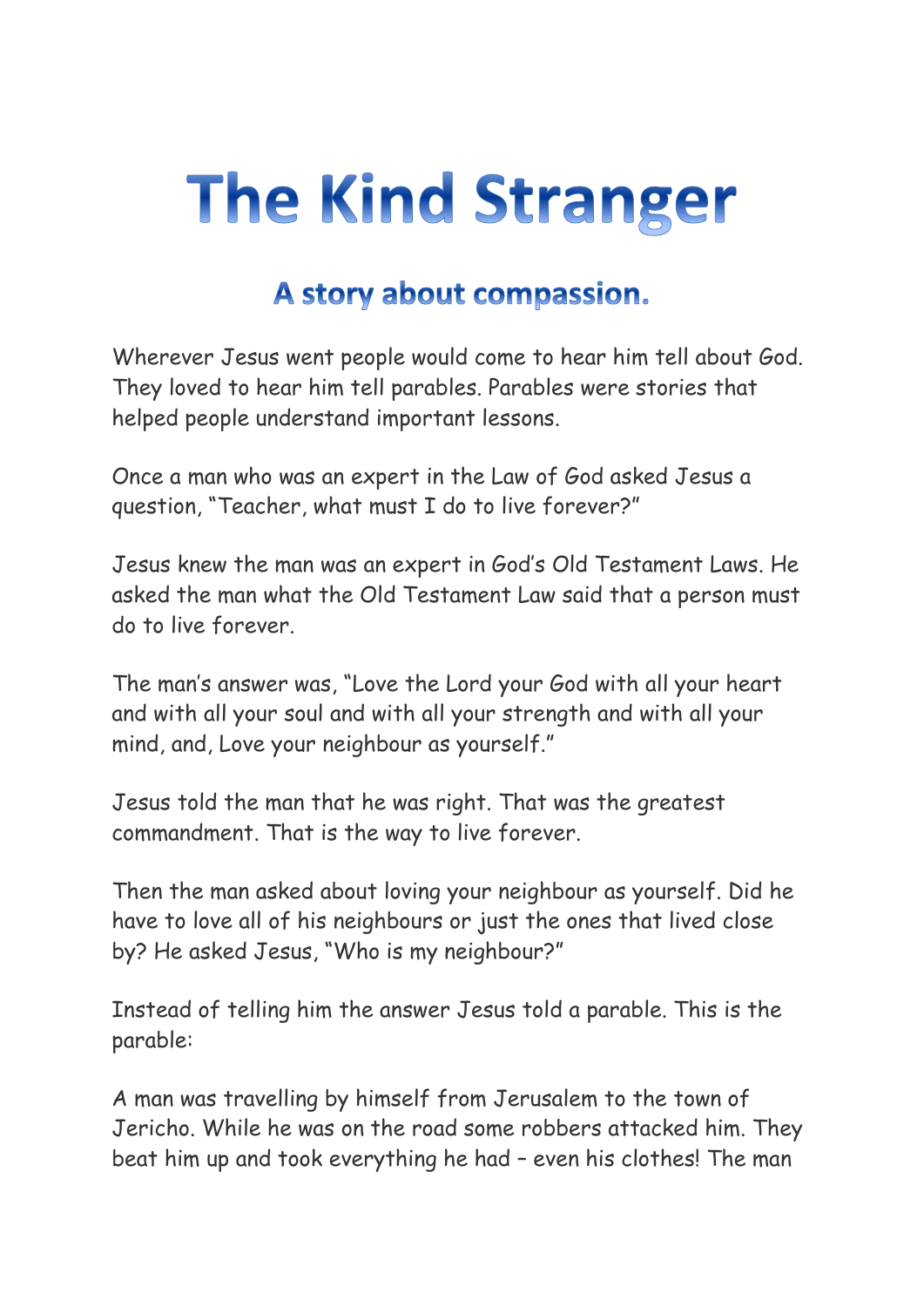## **The Kind Stranger**

## A story about compassion.

Wherever Jesus went people would come to hear him tell about God. They loved to hear him tell parables. Parables were stories that helped people understand important lessons.

Once a man who was an expert in the Law of God asked Jesus a question, "Teacher, what must I do to live forever?"

Jesus knew the man was an expert in God's Old Testament Laws. He asked the man what the Old Testament Law said that a person must do to live forever.

The man's answer was, "Love the Lord your God with all your heart and with all your soul and with all your strength and with all your mind, and, Love your neighbour as yourself."

Jesus told the man that he was right. That was the greatest commandment. That is the way to live forever.

Then the man asked about loving your neighbour as yourself. Did he have to love all of his neighbours or just the ones that lived close by? He asked Jesus, "Who is my neighbour?"

Instead of telling him the answer Jesus told a parable. This is the parable:

A man was travelling by himself from Jerusalem to the town of Jericho. While he was on the road some robbers attacked him. They beat him up and took everything he had – even his clothes! The man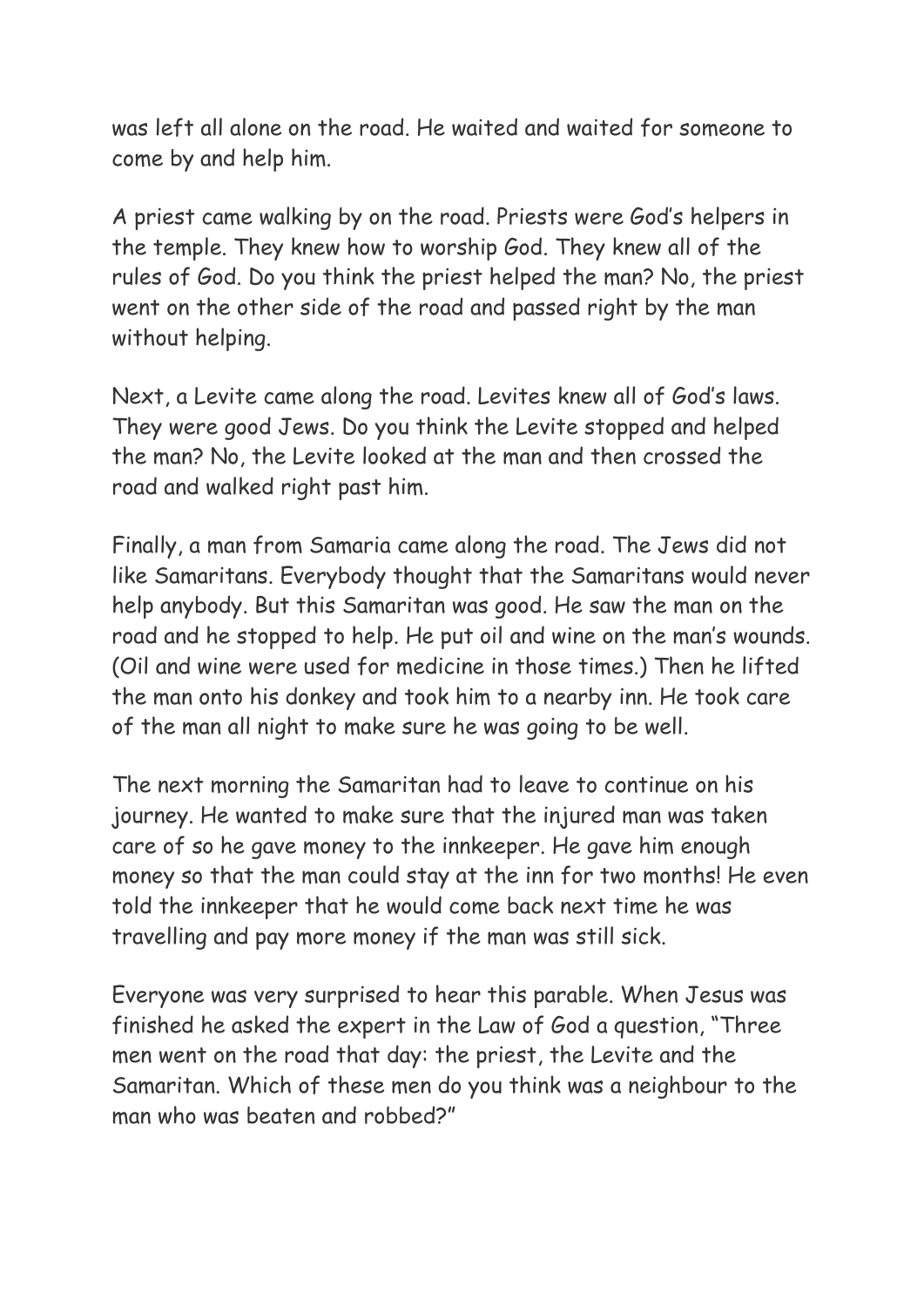was left all alone on the road. He waited and waited for someone to come by and help him.

A priest came walking by on the road. Priests were God's helpers in the temple. They knew how to worship God. They knew all of the rules of God. Do you think the priest helped the man? No, the priest went on the other side of the road and passed right by the man without helping.

Next, a Levite came along the road. Levites knew all of God's laws. They were good Jews. Do you think the Levite stopped and helped the man? No, the Levite looked at the man and then crossed the road and walked right past him.

Finally, a man from Samaria came along the road. The Jews did not like Samaritans. Everybody thought that the Samaritans would never help anybody. But this Samaritan was good. He saw the man on the road and he stopped to help. He put oil and wine on the man's wounds. (Oil and wine were used for medicine in those times.) Then he lifted the man onto his donkey and took him to a nearby inn. He took care of the man all night to make sure he was going to be well.

The next morning the Samaritan had to leave to continue on his journey. He wanted to make sure that the injured man was taken care of so he gave money to the innkeeper. He gave him enough money so that the man could stay at the inn for two months! He even told the innkeeper that he would come back next time he was travelling and pay more money if the man was still sick.

Everyone was very surprised to hear this parable. When Jesus was finished he asked the expert in the Law of God a question, "Three men went on the road that day: the priest, the Levite and the Samaritan. Which of these men do you think was a neighbour to the man who was beaten and robbed?"